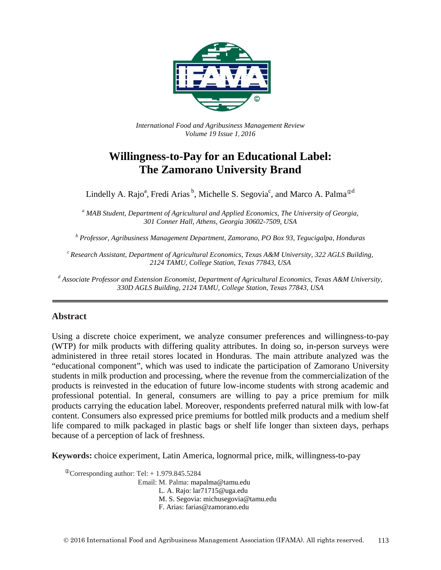

*International Food and Agribusiness Management Review Volume 19 Issue 1*, *2016*

# **Willingness-to-Pay for an Educational Label: The Zamorano University Brand**

Lindelly A. Rajo<sup>a</sup>, Fredi Arias  $^b$ , Michelle S. Segovia<sup>c</sup>, and Marco A. Palma<sup> $\Phi$ d</sup>

*<sup>a</sup> MAB Student, Department of Agricultural and Applied Economics, The University of Georgia, 301 Conner Hall, Athens, Georgia 30602-7509, USA*

*<sup>b</sup> Professor, Agribusiness Management Department, Zamorano, PO Box 93, Tegucigalpa, Honduras*

*c Research Assistant, Department of Agricultural Economics, Texas A&M University, 322 AGLS Building, 2124 TAMU, College Station, Texas 77843, USA*

*<sup>d</sup> Associate Professor and Extension Economist, Department of Agricultural Economics, Texas A&M University, 330D AGLS Building, 2124 TAMU, College Station, Texas 77843, USA*

## **Abstract**

Using a discrete choice experiment, we analyze consumer preferences and willingness-to-pay (WTP) for milk products with differing quality attributes. In doing so, in-person surveys were administered in three retail stores located in Honduras. The main attribute analyzed was the "educational component", which was used to indicate the participation of Zamorano University students in milk production and processing, where the revenue from the commercialization of the products is reinvested in the education of future low-income students with strong academic and professional potential. In general, consumers are willing to pay a price premium for milk products carrying the education label. Moreover, respondents preferred natural milk with low-fat content. Consumers also expressed price premiums for bottled milk products and a medium shelf life compared to milk packaged in plastic bags or shelf life longer than sixteen days, perhaps because of a perception of lack of freshness.

**Keywords:** choice experiment, Latin America, lognormal price, milk, willingness-to-pay

 $^{\circ}$ Corresponding author: Tel: + 1.979.845.5284 Email: M. Palma: mapalma@tamu.edu L. A. Rajo: lar71715@uga.edu M. S. Segovia: michusegovia@tamu.edu F. Arias: farias@zamorano.edu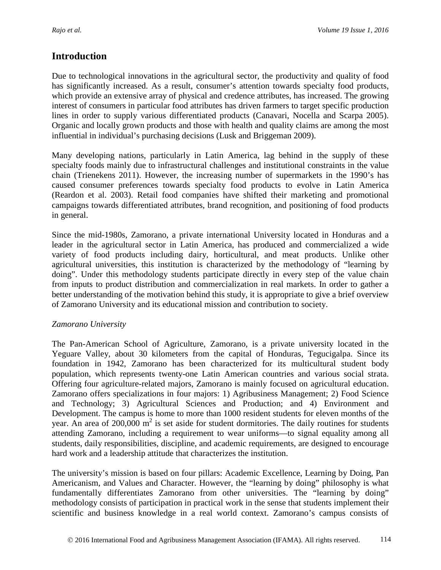## **Introduction**

Due to technological innovations in the agricultural sector, the productivity and quality of food has significantly increased. As a result, consumer's attention towards specialty food products, which provide an extensive array of physical and credence attributes, has increased. The growing interest of consumers in particular food attributes has driven farmers to target specific production lines in order to supply various differentiated products (Canavari, Nocella and Scarpa 2005). Organic and locally grown products and those with health and quality claims are among the most influential in individual's purchasing decisions (Lusk and Briggeman 2009).

Many developing nations, particularly in Latin America, lag behind in the supply of these specialty foods mainly due to infrastructural challenges and institutional constraints in the value chain (Trienekens 2011). However, the increasing number of supermarkets in the 1990's has caused consumer preferences towards specialty food products to evolve in Latin America (Reardon et al. 2003). Retail food companies have shifted their marketing and promotional campaigns towards differentiated attributes, brand recognition, and positioning of food products in general.

Since the mid-1980s, Zamorano, a private international University located in Honduras and a leader in the agricultural sector in Latin America, has produced and commercialized a wide variety of food products including dairy, horticultural, and meat products. Unlike other agricultural universities, this institution is characterized by the methodology of "learning by doing". Under this methodology students participate directly in every step of the value chain from inputs to product distribution and commercialization in real markets. In order to gather a better understanding of the motivation behind this study, it is appropriate to give a brief overview of Zamorano University and its educational mission and contribution to society.

## *Zamorano University*

The Pan-American School of Agriculture, Zamorano, is a private university located in the Yeguare Valley, about 30 kilometers from the capital of Honduras, Tegucigalpa. Since its foundation in 1942, Zamorano has been characterized for its multicultural student body population, which represents twenty-one Latin American countries and various social strata. Offering four agriculture-related majors, Zamorano is mainly focused on agricultural education. Zamorano offers specializations in four majors: 1) Agribusiness Management; 2) Food Science and Technology; 3) Agricultural Sciences and Production; and 4) Environment and Development. The campus is home to more than 1000 resident students for eleven months of the year. An area of  $200,000 \text{ m}^2$  is set aside for student dormitories. The daily routines for students attending Zamorano, including a requirement to wear uniforms—to signal equality among all students, daily responsibilities, discipline, and academic requirements, are designed to encourage hard work and a leadership attitude that characterizes the institution.

The university's mission is based on four pillars: Academic Excellence, Learning by Doing, Pan Americanism, and Values and Character. However, the "learning by doing" philosophy is what fundamentally differentiates Zamorano from other universities. The "learning by doing" methodology consists of participation in practical work in the sense that students implement their scientific and business knowledge in a real world context. Zamorano's campus consists of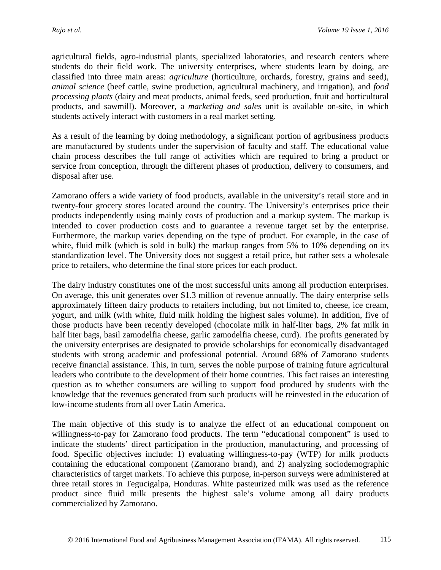agricultural fields, agro-industrial plants, specialized laboratories, and research centers where students do their field work. The university enterprises, where students learn by doing, are classified into three main areas: *agriculture* (horticulture, orchards, forestry, grains and seed), *animal science* (beef cattle, swine production, agricultural machinery, and irrigation), and *food processing plants* (dairy and meat products, animal feeds, seed production, fruit and horticultural products, and sawmill). Moreover, a *marketing and sales* unit is available on-site, in which students actively interact with customers in a real market setting.

As a result of the learning by doing methodology, a significant portion of agribusiness products are manufactured by students under the supervision of faculty and staff. The educational value chain process describes the full range of activities which are required to bring a product or service from conception, through the different phases of production, delivery to consumers, and disposal after use.

Zamorano offers a wide variety of food products, available in the university's retail store and in twenty-four grocery stores located around the country. The University's enterprises price their products independently using mainly costs of production and a markup system. The markup is intended to cover production costs and to guarantee a revenue target set by the enterprise. Furthermore, the markup varies depending on the type of product. For example, in the case of white, fluid milk (which is sold in bulk) the markup ranges from 5% to 10% depending on its standardization level. The University does not suggest a retail price, but rather sets a wholesale price to retailers, who determine the final store prices for each product.

The dairy industry constitutes one of the most successful units among all production enterprises. On average, this unit generates over \$1.3 million of revenue annually. The dairy enterprise sells approximately fifteen dairy products to retailers including, but not limited to, cheese, ice cream, yogurt, and milk (with white, fluid milk holding the highest sales volume). In addition, five of those products have been recently developed (chocolate milk in half-liter bags, 2% fat milk in half liter bags, basil zamodelfia cheese, garlic zamodelfia cheese, curd). The profits generated by the university enterprises are designated to provide scholarships for economically disadvantaged students with strong academic and professional potential. Around 68% of Zamorano students receive financial assistance. This, in turn, serves the noble purpose of training future agricultural leaders who contribute to the development of their home countries. This fact raises an interesting question as to whether consumers are willing to support food produced by students with the knowledge that the revenues generated from such products will be reinvested in the education of low-income students from all over Latin America.

The main objective of this study is to analyze the effect of an educational component on willingness-to-pay for Zamorano food products. The term "educational component" is used to indicate the students' direct participation in the production, manufacturing, and processing of food. Specific objectives include: 1) evaluating willingness-to-pay (WTP) for milk products containing the educational component (Zamorano brand), and 2) analyzing sociodemographic characteristics of target markets. To achieve this purpose, in-person surveys were administered at three retail stores in Tegucigalpa, Honduras. White pasteurized milk was used as the reference product since fluid milk presents the highest sale's volume among all dairy products commercialized by Zamorano.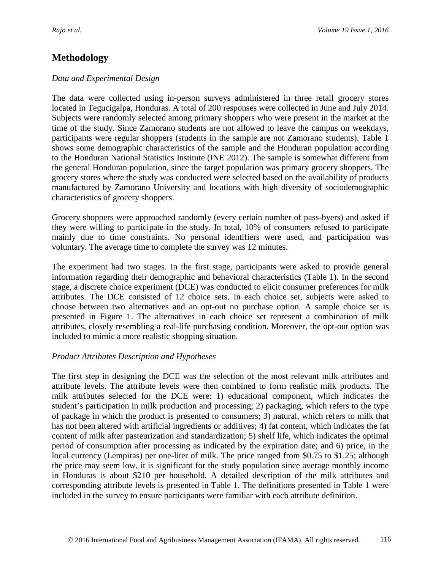## **Methodology**

### *Data and Experimental Design*

The data were collected using in-person surveys administered in three retail grocery stores located in Tegucigalpa, Honduras. A total of 200 responses were collected in June and July 2014. Subjects were randomly selected among primary shoppers who were present in the market at the time of the study. Since Zamorano students are not allowed to leave the campus on weekdays, participants were regular shoppers (students in the sample are not Zamorano students). Table 1 shows some demographic characteristics of the sample and the Honduran population according to the Honduran National Statistics Institute (INE 2012). The sample is somewhat different from the general Honduran population, since the target population was primary grocery shoppers. The grocery stores where the study was conducted were selected based on the availability of products manufactured by Zamorano University and locations with high diversity of sociodemographic characteristics of grocery shoppers.

Grocery shoppers were approached randomly (every certain number of pass-byers) and asked if they were willing to participate in the study. In total, 10% of consumers refused to participate mainly due to time constraints. No personal identifiers were used, and participation was voluntary. The average time to complete the survey was 12 minutes.

The experiment had two stages. In the first stage, participants were asked to provide general information regarding their demographic and behavioral characteristics (Table 1). In the second stage, a discrete choice experiment (DCE) was conducted to elicit consumer preferences for milk attributes. The DCE consisted of 12 choice sets. In each choice set, subjects were asked to choose between two alternatives and an opt-out no purchase option. A sample choice set is presented in Figure 1. The alternatives in each choice set represent a combination of milk attributes, closely resembling a real-life purchasing condition. Moreover, the opt-out option was included to mimic a more realistic shopping situation.

## *Product Attributes Description and Hypotheses*

The first step in designing the DCE was the selection of the most relevant milk attributes and attribute levels. The attribute levels were then combined to form realistic milk products. The milk attributes selected for the DCE were: 1) educational component, which indicates the student's participation in milk production and processing; 2) packaging, which refers to the type of package in which the product is presented to consumers; 3) natural, which refers to milk that has not been altered with artificial ingredients or additives; 4) fat content, which indicates the fat content of milk after pasteurization and standardization; 5) shelf life, which indicates the optimal period of consumption after processing as indicated by the expiration date; and 6) price, in the local currency (Lempiras) per one-liter of milk. The price ranged from \$0.75 to \$1.25; although the price may seem low, it is significant for the study population since average monthly income in Honduras is about \$210 per household. A detailed description of the milk attributes and corresponding attribute levels is presented in Table 1. The definitions presented in Table 1 were included in the survey to ensure participants were familiar with each attribute definition.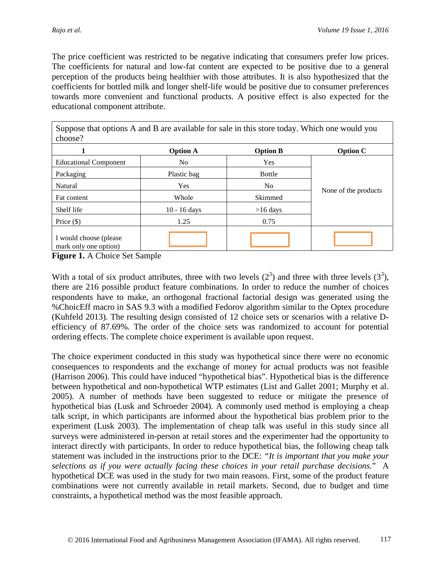The price coefficient was restricted to be negative indicating that consumers prefer low prices. The coefficients for natural and low-fat content are expected to be positive due to a general perception of the products being healthier with those attributes. It is also hypothesized that the coefficients for bottled milk and longer shelf-life would be positive due to consumer preferences towards more convenient and functional products. A positive effect is also expected for the educational component attribute.

Suppose that options A and B are available for sale in this store today. Which one would you choose?

|                                                 | <b>Option A</b> | <b>Option B</b> | <b>Option C</b>      |
|-------------------------------------------------|-----------------|-----------------|----------------------|
| <b>Educational Component</b>                    | N <sub>o</sub>  | Yes             |                      |
| Packaging                                       | Plastic bag     | <b>Bottle</b>   |                      |
| Natural                                         | Yes             | No.             |                      |
| Fat content                                     | Whole           | Skimmed         | None of the products |
| Shelf life                                      | $10 - 16$ days  | $>16$ days      |                      |
| Price $(\$)$                                    | 1.25            | 0.75            |                      |
| I would choose (please<br>mark only one option) |                 |                 |                      |

**Figure 1.** A Choice Set Sample

With a total of six product attributes, three with two levels  $(2^3)$  and three with three levels  $(3^3)$ , there are 216 possible product feature combinations. In order to reduce the number of choices respondents have to make, an orthogonal fractional factorial design was generated using the %ChoicEff macro in SAS 9.3 with a modified Fedorov algorithm similar to the Optex procedure (Kuhfeld 2013). The resulting design consisted of 12 choice sets or scenarios with a relative Defficiency of 87.69%. The order of the choice sets was randomized to account for potential ordering effects. The complete choice experiment is available upon request.

The choice experiment conducted in this study was hypothetical since there were no economic consequences to respondents and the exchange of money for actual products was not feasible (Harrison 2006). This could have induced "hypothetical bias". Hypothetical bias is the difference between hypothetical and non-hypothetical WTP estimates (List and Gallet 2001; Murphy et al. 2005). A number of methods have been suggested to reduce or mitigate the presence of hypothetical bias (Lusk and Schroeder 2004). A commonly used method is employing a cheap talk script, in which participants are informed about the hypothetical bias problem prior to the experiment (Lusk 2003). The implementation of cheap talk was useful in this study since all surveys were administered in-person at retail stores and the experimenter had the opportunity to interact directly with participants. In order to reduce hypothetical bias, the following cheap talk statement was included in the instructions prior to the DCE: *"It is important that you make your selections as if you were actually facing these choices in your retail purchase decisions.*" A hypothetical DCE was used in the study for two main reasons. First, some of the product feature combinations were not currently available in retail markets. Second, due to budget and time constraints, a hypothetical method was the most feasible approach.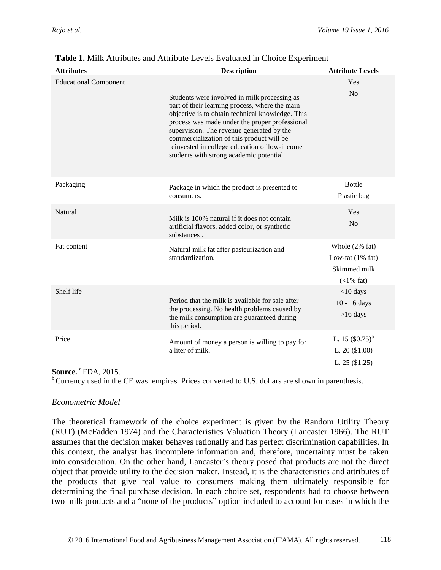| <b>Attributes</b>            | <b>Description</b>                                                                                                                                                                                                                                                                                                                                                                          | <b>Attribute Levels</b>                                               |
|------------------------------|---------------------------------------------------------------------------------------------------------------------------------------------------------------------------------------------------------------------------------------------------------------------------------------------------------------------------------------------------------------------------------------------|-----------------------------------------------------------------------|
| <b>Educational Component</b> | Students were involved in milk processing as<br>part of their learning process, where the main<br>objective is to obtain technical knowledge. This<br>process was made under the proper professional<br>supervision. The revenue generated by the<br>commercialization of this product will be<br>reinvested in college education of low-income<br>students with strong academic potential. | Yes<br>No                                                             |
| Packaging                    | Package in which the product is presented to<br>consumers.                                                                                                                                                                                                                                                                                                                                  | <b>Bottle</b><br>Plastic bag                                          |
| <b>Natural</b>               | Milk is 100% natural if it does not contain<br>artificial flavors, added color, or synthetic<br>substances <sup>a</sup> .                                                                                                                                                                                                                                                                   | Yes<br>N <sub>0</sub>                                                 |
| Fat content                  | Natural milk fat after pasteurization and<br>standardization.                                                                                                                                                                                                                                                                                                                               | Whole (2% fat)<br>Low-fat $(1\%$ fat)<br>Skimmed milk<br>$(<1\%$ fat) |
| Shelf life                   | Period that the milk is available for sale after<br>the processing. No health problems caused by<br>the milk consumption are guaranteed during<br>this period.                                                                                                                                                                                                                              | $<$ 10 days<br>$10 - 16$ days<br>$>16$ days                           |
| Price                        | Amount of money a person is willing to pay for<br>a liter of milk.                                                                                                                                                                                                                                                                                                                          | L. 15 $($ 0.75 $)$ <sup>b</sup><br>L. $20(1.00)$<br>L. 25 (\$1.25)    |

## **Table 1.** Milk Attributes and Attribute Levels Evaluated in Choice Experiment

#### **Source.** <sup>a</sup> FDA, 2015.

 $b$ <sup>b</sup> Currency used in the CE was lempiras. Prices converted to U.S. dollars are shown in parenthesis.

#### *Econometric Model*

The theoretical framework of the choice experiment is given by the Random Utility Theory (RUT) (McFadden 1974) and the Characteristics Valuation Theory (Lancaster 1966). The RUT assumes that the decision maker behaves rationally and has perfect discrimination capabilities. In this context, the analyst has incomplete information and, therefore, uncertainty must be taken into consideration. On the other hand, Lancaster's theory posed that products are not the direct object that provide utility to the decision maker. Instead, it is the characteristics and attributes of the products that give real value to consumers making them ultimately responsible for determining the final purchase decision. In each choice set, respondents had to choose between two milk products and a "none of the products" option included to account for cases in which the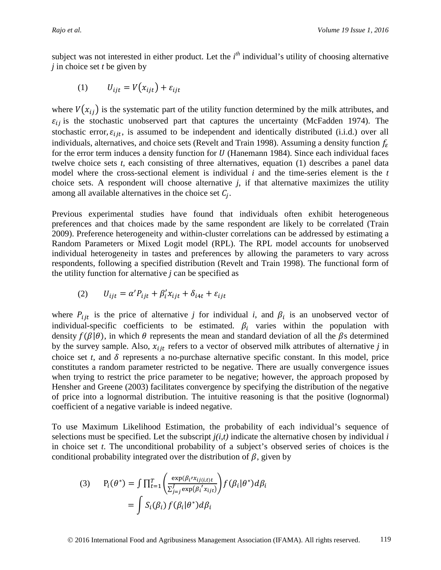subject was not interested in either product. Let the *i*<sup>th</sup> individual's utility of choosing alternative *j* in choice set *t* be given by

$$
(1) \tU_{ijt} = V(x_{ijt}) + \varepsilon_{ijt}
$$

where  $V(x_{ij})$  is the systematic part of the utility function determined by the milk attributes, and  $\varepsilon_{ij}$  is the stochastic unobserved part that captures the uncertainty (McFadden 1974). The stochastic error,  $\varepsilon_{ijt}$ , is assumed to be independent and identically distributed (i.i.d.) over all individuals, alternatives, and choice sets (Revelt and Train 1998). Assuming a density function  $f_{\varepsilon}$ for the error term induces a density function for  $U$  (Hanemann 1984). Since each individual faces twelve choice sets *t*, each consisting of three alternatives, equation (1) describes a panel data model where the cross-sectional element is individual *i* and the time-series element is the *t*  choice sets. A respondent will choose alternative *j*, if that alternative maximizes the utility among all available alternatives in the choice set  $C_i$ .

Previous experimental studies have found that individuals often exhibit heterogeneous preferences and that choices made by the same respondent are likely to be correlated (Train 2009). Preference heterogeneity and within-cluster correlations can be addressed by estimating a Random Parameters or Mixed Logit model (RPL). The RPL model accounts for unobserved individual heterogeneity in tastes and preferences by allowing the parameters to vary across respondents, following a specified distribution (Revelt and Train 1998). The functional form of the utility function for alternative *j* can be specified as

$$
(2) \qquad U_{ijt} = \alpha' P_{ijt} + \beta'_i x_{ijt} + \delta_{i4t} + \varepsilon_{ijt}
$$

where  $P_{ijt}$  is the price of alternative *j* for individual *i*, and  $\beta_i$  is an unobserved vector of individual-specific coefficients to be estimated.  $\beta_i$  varies within the population with density  $f(\beta|\theta)$ , in which  $\theta$  represents the mean and standard deviation of all the  $\beta$ s determined by the survey sample. Also,  $x_{ijt}$  refers to a vector of observed milk attributes of alternative *j* in choice set  $t$ , and  $\delta$  represents a no-purchase alternative specific constant. In this model, price constitutes a random parameter restricted to be negative. There are usually convergence issues when trying to restrict the price parameter to be negative; however, the approach proposed by Hensher and Greene (2003) facilitates convergence by specifying the distribution of the negative of price into a lognormal distribution. The intuitive reasoning is that the positive (lognormal) coefficient of a negative variable is indeed negative.

To use Maximum Likelihood Estimation, the probability of each individual's sequence of selections must be specified. Let the subscript  $j(i,t)$  indicate the alternative chosen by individual  $i$ in choice set *t*. The unconditional probability of a subject's observed series of choices is the conditional probability integrated over the distribution of  $\beta$ , given by

(3) 
$$
P_i(\theta^*) = \int \prod_{t=1}^T \left( \frac{\exp(\beta_i x_{ij(i,t)t})}{\sum_{j=j}^J \exp(\beta_i x_{ijt})} \right) f(\beta_i | \theta^*) d\beta_i
$$

$$
= \int S_i(\beta_i) f(\beta_i | \theta^*) d\beta_i
$$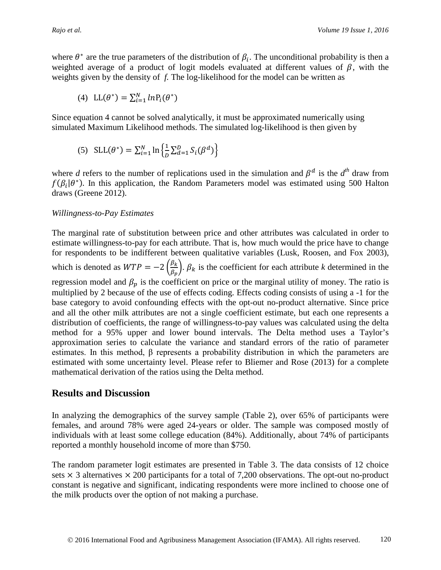where  $\theta^*$  are the true parameters of the distribution of  $\beta_i$ . The unconditional probability is then a weighted average of a product of logit models evaluated at different values of  $\beta$ , with the weights given by the density of *f.* The log-likelihood for the model can be written as

$$
(4) \ \ \mathrm{LL}(\theta^*) = \sum_{i=1}^N ln P_i(\theta^*)
$$

Since equation 4 cannot be solved analytically, it must be approximated numerically using simulated Maximum Likelihood methods. The simulated log-likelihood is then given by

(5) 
$$
SLL(\theta^*) = \sum_{i=1}^{N} \ln \left\{ \frac{1}{D} \sum_{d=1}^{D} S_i(\beta^d) \right\}
$$

where *d* refers to the number of replications used in the simulation and  $\beta^d$  is the  $d^{th}$  draw from  $f(\beta_i|\theta^*)$ . In this application, the Random Parameters model was estimated using 500 Halton draws (Greene 2012).

#### *Willingness-to-Pay Estimates*

The marginal rate of substitution between price and other attributes was calculated in order to estimate willingness-to-pay for each attribute. That is, how much would the price have to change for respondents to be indifferent between qualitative variables (Lusk, Roosen, and Fox 2003), which is denoted as  $WTP = -2 \left( \frac{\beta_k}{\beta_n} \right)$  $\frac{\rho_k}{\beta_p}$ .  $\beta_k$  is the coefficient for each attribute *k* determined in the regression model and  $\beta_p$  is the coefficient on price or the marginal utility of money. The ratio is multiplied by 2 because of the use of effects coding. Effects coding consists of using a -1 for the base category to avoid confounding effects with the opt-out no-product alternative. Since price and all the other milk attributes are not a single coefficient estimate, but each one represents a distribution of coefficients, the range of willingness-to-pay values was calculated using the delta method for a 95% upper and lower bound intervals. The Delta method uses a Taylor's approximation series to calculate the variance and standard errors of the ratio of parameter estimates. In this method, β represents a probability distribution in which the parameters are estimated with some uncertainty level. Please refer to Bliemer and Rose (2013) for a complete mathematical derivation of the ratios using the Delta method.

## **Results and Discussion**

In analyzing the demographics of the survey sample (Table 2), over 65% of participants were females, and around 78% were aged 24-years or older. The sample was composed mostly of individuals with at least some college education (84%). Additionally, about 74% of participants reported a monthly household income of more than \$750.

The random parameter logit estimates are presented in Table 3. The data consists of 12 choice sets  $\times$  3 alternatives  $\times$  200 participants for a total of 7,200 observations. The opt-out no-product constant is negative and significant, indicating respondents were more inclined to choose one of the milk products over the option of not making a purchase.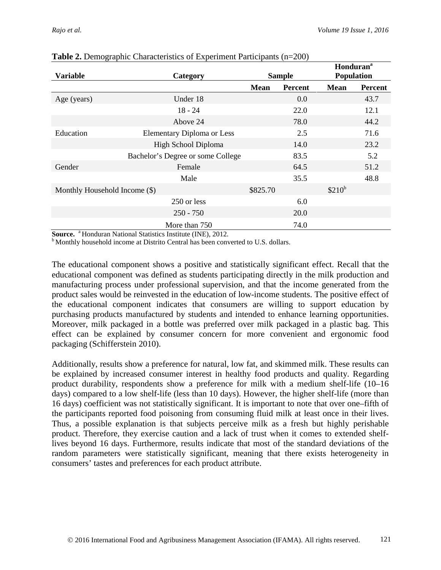|                               |                                   |               |                | <b>Honduran</b> <sup>a</sup> |                |
|-------------------------------|-----------------------------------|---------------|----------------|------------------------------|----------------|
| <b>Variable</b>               | Category                          | <b>Sample</b> |                | Population                   |                |
|                               |                                   | <b>Mean</b>   | <b>Percent</b> | <b>Mean</b>                  | <b>Percent</b> |
| Age (years)                   | Under 18                          |               | 0.0            |                              | 43.7           |
|                               | $18 - 24$                         |               | 22.0           |                              | 12.1           |
|                               | Above 24                          |               | 78.0           |                              | 44.2           |
| Education                     | Elementary Diploma or Less        |               | 2.5            |                              | 71.6           |
|                               | High School Diploma               |               | 14.0           |                              | 23.2           |
|                               | Bachelor's Degree or some College |               | 83.5           |                              | 5.2            |
| Gender                        | Female                            |               | 64.5           |                              | 51.2           |
|                               | Male                              |               | 35.5           |                              | 48.8           |
| Monthly Household Income (\$) |                                   | \$825.70      |                | $$210^b$                     |                |
|                               | 250 or less                       |               | 6.0            |                              |                |
|                               | $250 - 750$                       |               | 20.0           |                              |                |
|                               | More than 750                     |               | 74.0           |                              |                |

#### **Table 2.** Demographic Characteristics of Experiment Participants (n=200)

**Source.** <sup>a</sup> Honduran National Statistics Institute (INE), 2012.<br><sup>b</sup> Monthly household income at Distrito Central has been converted to U.S. dollars.

The educational component shows a positive and statistically significant effect. Recall that the educational component was defined as students participating directly in the milk production and manufacturing process under professional supervision, and that the income generated from the product sales would be reinvested in the education of low-income students. The positive effect of the educational component indicates that consumers are willing to support education by purchasing products manufactured by students and intended to enhance learning opportunities. Moreover, milk packaged in a bottle was preferred over milk packaged in a plastic bag. This effect can be explained by consumer concern for more convenient and ergonomic food packaging (Schifferstein 2010).

Additionally, results show a preference for natural, low fat, and skimmed milk. These results can be explained by increased consumer interest in healthy food products and quality. Regarding product durability, respondents show a preference for milk with a medium shelf-life (10–16 days) compared to a low shelf-life (less than 10 days). However, the higher shelf-life (more than 16 days) coefficient was not statistically significant. It is important to note that over one–fifth of the participants reported food poisoning from consuming fluid milk at least once in their lives. Thus, a possible explanation is that subjects perceive milk as a fresh but highly perishable product. Therefore, they exercise caution and a lack of trust when it comes to extended shelflives beyond 16 days. Furthermore, results indicate that most of the standard deviations of the random parameters were statistically significant, meaning that there exists heterogeneity in consumers' tastes and preferences for each product attribute.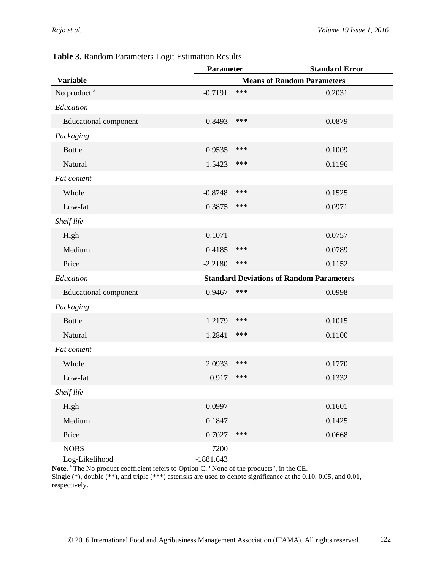|                              | <b>Parameter</b> |                                                 | <b>Standard Error</b> |
|------------------------------|------------------|-------------------------------------------------|-----------------------|
| <b>Variable</b>              |                  | <b>Means of Random Parameters</b>               |                       |
| No product <sup>a</sup>      | $-0.7191$        | ***                                             | 0.2031                |
| Education                    |                  |                                                 |                       |
| <b>Educational component</b> | 0.8493           | ***                                             | 0.0879                |
| Packaging                    |                  |                                                 |                       |
| <b>Bottle</b>                | 0.9535           | ***                                             | 0.1009                |
| Natural                      | 1.5423           | ***                                             | 0.1196                |
| Fat content                  |                  |                                                 |                       |
| Whole                        | $-0.8748$        | ***                                             | 0.1525                |
| Low-fat                      | 0.3875           | ***                                             | 0.0971                |
| Shelf life                   |                  |                                                 |                       |
| High                         | 0.1071           |                                                 | 0.0757                |
| Medium                       | 0.4185           | ***                                             | 0.0789                |
| Price                        | $-2.2180$        | ***                                             | 0.1152                |
| Education                    |                  | <b>Standard Deviations of Random Parameters</b> |                       |
| <b>Educational component</b> | 0.9467           | ***                                             | 0.0998                |
| Packaging                    |                  |                                                 |                       |
| <b>Bottle</b>                | 1.2179           | ***                                             | 0.1015                |
| Natural                      | 1.2841           | ***                                             | 0.1100                |
| Fat content                  |                  |                                                 |                       |
| Whole                        | 2.0933           | ***                                             | 0.1770                |
| Low-fat                      | 0.917            | ***                                             | 0.1332                |
| Shelf life                   |                  |                                                 |                       |
| High                         | 0.0997           |                                                 | 0.1601                |
| Medium                       | 0.1847           |                                                 | 0.1425                |
| Price                        | 0.7027           | ***                                             | 0.0668                |
| <b>NOBS</b>                  | 7200             |                                                 |                       |
| Log-Likelihood               | $-1881.643$      |                                                 |                       |

#### **Table 3.** Random Parameters Logit Estimation Results

Note.<sup>a</sup> The No product coefficient refers to Option C, "None of the products", in the CE.

Single (\*), double (\*\*), and triple (\*\*\*) asterisks are used to denote significance at the 0.10, 0.05, and 0.01, respectively.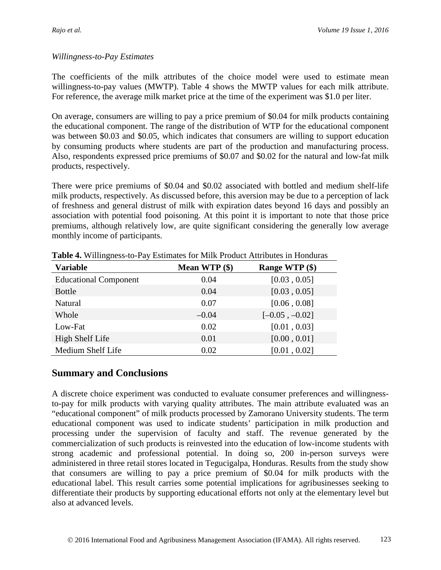## *Willingness-to-Pay Estimates*

The coefficients of the milk attributes of the choice model were used to estimate mean willingness-to-pay values (MWTP). Table 4 shows the MWTP values for each milk attribute. For reference, the average milk market price at the time of the experiment was \$1.0 per liter.

On average, consumers are willing to pay a price premium of \$0.04 for milk products containing the educational component. The range of the distribution of WTP for the educational component was between \$0.03 and \$0.05, which indicates that consumers are willing to support education by consuming products where students are part of the production and manufacturing process. Also, respondents expressed price premiums of \$0.07 and \$0.02 for the natural and low-fat milk products, respectively.

There were price premiums of \$0.04 and \$0.02 associated with bottled and medium shelf-life milk products, respectively. As discussed before, this aversion may be due to a perception of lack of freshness and general distrust of milk with expiration dates beyond 16 days and possibly an association with potential food poisoning. At this point it is important to note that those price premiums, although relatively low, are quite significant considering the generally low average monthly income of participants.

| <b>Variable</b>              | Mean WTP (\$) | Range WTP (\$)   |
|------------------------------|---------------|------------------|
| <b>Educational Component</b> | 0.04          | [0.03, 0.05]     |
| <b>Bottle</b>                | 0.04          | [0.03, 0.05]     |
| Natural                      | 0.07          | [0.06, 0.08]     |
| Whole                        | $-0.04$       | $[-0.05, -0.02]$ |
| Low-Fat                      | 0.02          | [0.01, 0.03]     |
| High Shelf Life              | 0.01          | [0.00, 0.01]     |
| Medium Shelf Life            | 0.02          | [0.01, 0.02]     |

**Table 4.** Willingness-to-Pay Estimates for Milk Product Attributes in Honduras

## **Summary and Conclusions**

A discrete choice experiment was conducted to evaluate consumer preferences and willingnessto-pay for milk products with varying quality attributes. The main attribute evaluated was an "educational component" of milk products processed by Zamorano University students. The term educational component was used to indicate students' participation in milk production and processing under the supervision of faculty and staff. The revenue generated by the commercialization of such products is reinvested into the education of low-income students with strong academic and professional potential. In doing so, 200 in-person surveys were administered in three retail stores located in Tegucigalpa, Honduras. Results from the study show that consumers are willing to pay a price premium of \$0.04 for milk products with the educational label. This result carries some potential implications for agribusinesses seeking to differentiate their products by supporting educational efforts not only at the elementary level but also at advanced levels.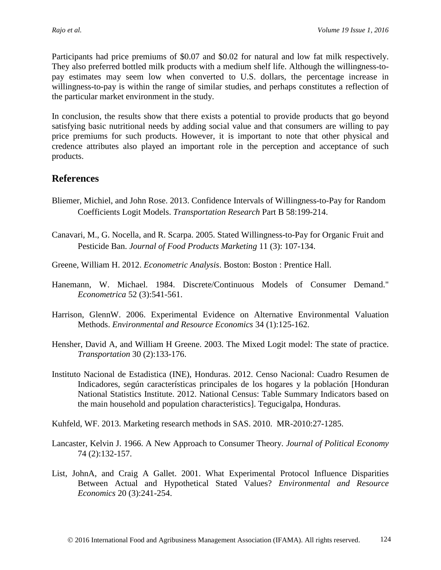Participants had price premiums of \$0.07 and \$0.02 for natural and low fat milk respectively. They also preferred bottled milk products with a medium shelf life. Although the willingness-topay estimates may seem low when converted to U.S. dollars, the percentage increase in willingness-to-pay is within the range of similar studies, and perhaps constitutes a reflection of the particular market environment in the study.

In conclusion, the results show that there exists a potential to provide products that go beyond satisfying basic nutritional needs by adding social value and that consumers are willing to pay price premiums for such products. However, it is important to note that other physical and credence attributes also played an important role in the perception and acceptance of such products.

## **References**

- Bliemer, Michiel, and John Rose. 2013. Confidence Intervals of Willingness-to-Pay for Random Coefficients Logit Models. *Transportation Research* Part B 58:199-214.
- Canavari, M., G. Nocella, and R. Scarpa. 2005. Stated Willingness-to-Pay for Organic Fruit and Pesticide Ban. *Journal of Food Products Marketing* 11 (3): 107-134.
- Greene, William H. 2012. *Econometric Analysis*. Boston: Boston : Prentice Hall.
- Hanemann, W. Michael. 1984. Discrete/Continuous Models of Consumer Demand." *Econometrica* 52 (3):541-561.
- Harrison, GlennW. 2006. Experimental Evidence on Alternative Environmental Valuation Methods. *Environmental and Resource Economics* 34 (1):125-162.
- Hensher, David A, and William H Greene. 2003. The Mixed Logit model: The state of practice. *Transportation* 30 (2):133-176.
- Instituto Nacional de Estadistica (INE), Honduras. 2012. Censo Nacional: Cuadro Resumen de Indicadores, según características principales de los hogares y la población [Honduran National Statistics Institute. 2012. National Census: Table Summary Indicators based on the main household and population characteristics]. Tegucigalpa, Honduras.
- Kuhfeld, WF. 2013. Marketing research methods in SAS. 2010. MR-2010:27-1285.
- Lancaster, Kelvin J. 1966. A New Approach to Consumer Theory. *Journal of Political Economy* 74 (2):132-157.
- List, JohnA, and Craig A Gallet. 2001. What Experimental Protocol Influence Disparities Between Actual and Hypothetical Stated Values? *Environmental and Resource Economics* 20 (3):241-254.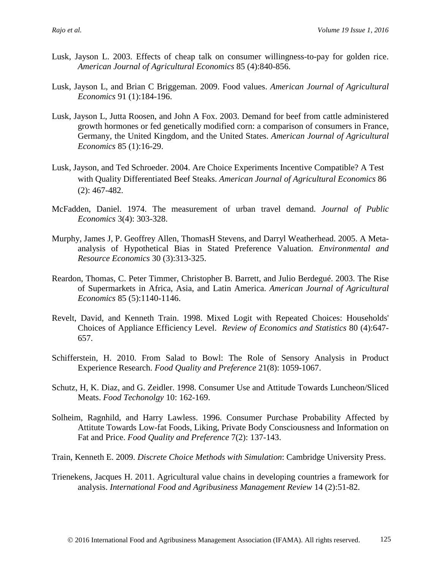- Lusk, Jayson L. 2003. Effects of cheap talk on consumer willingness-to-pay for golden rice. *American Journal of Agricultural Economics* 85 (4):840-856.
- Lusk, Jayson L, and Brian C Briggeman. 2009. Food values. *American Journal of Agricultural Economics* 91 (1):184-196.
- Lusk, Jayson L, Jutta Roosen, and John A Fox. 2003. Demand for beef from cattle administered growth hormones or fed genetically modified corn: a comparison of consumers in France, Germany, the United Kingdom, and the United States. *American Journal of Agricultural Economics* 85 (1):16-29.
- Lusk, Jayson, and Ted Schroeder. 2004. Are Choice Experiments Incentive Compatible? A Test with Quality Differentiated Beef Steaks. *American Journal of Agricultural Economics* 86 (2): 467-482.
- McFadden, Daniel. 1974. The measurement of urban travel demand. *Journal of Public Economics* 3(4): 303-328.
- Murphy, James J, P. Geoffrey Allen, ThomasH Stevens, and Darryl Weatherhead. 2005. A Metaanalysis of Hypothetical Bias in Stated Preference Valuation. *Environmental and Resource Economics* 30 (3):313-325.
- Reardon, Thomas, C. Peter Timmer, Christopher B. Barrett, and Julio Berdegué. 2003. The Rise of Supermarkets in Africa, Asia, and Latin America. *American Journal of Agricultural Economics* 85 (5):1140-1146.
- Revelt, David, and Kenneth Train. 1998. Mixed Logit with Repeated Choices: Households' Choices of Appliance Efficiency Level. *Review of Economics and Statistics* 80 (4):647- 657.
- Schifferstein, H. 2010. From Salad to Bowl: The Role of Sensory Analysis in Product Experience Research. *Food Quality and Preference* 21(8): 1059-1067.
- Schutz, H, K. Diaz, and G. Zeidler. 1998. Consumer Use and Attitude Towards Luncheon/Sliced Meats. *Food Techonolgy* 10: 162-169.
- Solheim, Ragnhild, and Harry Lawless. 1996. Consumer Purchase Probability Affected by Attitute Towards Low-fat Foods, Liking, Private Body Consciousness and Information on Fat and Price. *Food Quality and Preference* 7(2): 137-143.
- Train, Kenneth E. 2009. *Discrete Choice Methods with Simulation*: Cambridge University Press.
- Trienekens, Jacques H. 2011. Agricultural value chains in developing countries a framework for analysis. *International Food and Agribusiness Management Review* 14 (2):51-82.